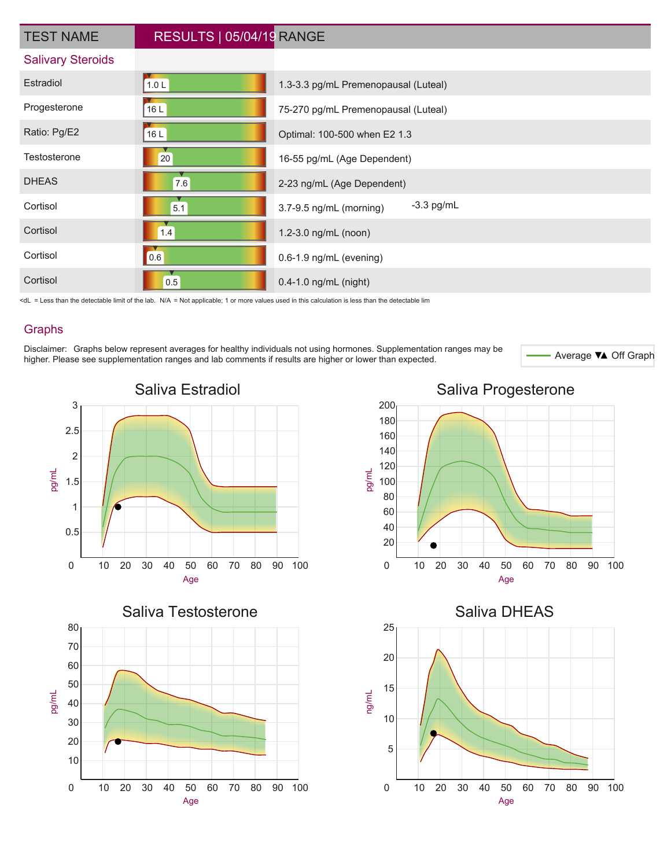| <b>TEST NAME</b>         | RESULTS   05/04/19 RANGE |                                         |
|--------------------------|--------------------------|-----------------------------------------|
| <b>Salivary Steroids</b> |                          |                                         |
| Estradiol                | 1.0 L                    | 1.3-3.3 pg/mL Premenopausal (Luteal)    |
| Progesterone             | 16L                      | 75-270 pg/mL Premenopausal (Luteal)     |
| Ratio: Pg/E2             | 16L                      | Optimal: 100-500 when E2 1.3            |
| Testosterone             | 20                       | 16-55 pg/mL (Age Dependent)             |
| <b>DHEAS</b>             | 7.6                      | 2-23 ng/mL (Age Dependent)              |
| Cortisol                 | 5.1                      | $-3.3$ pg/mL<br>3.7-9.5 ng/mL (morning) |
| Cortisol                 | 1.4                      | 1.2-3.0 ng/mL (noon)                    |
| Cortisol                 | 0.6                      | 0.6-1.9 ng/mL (evening)                 |
| Cortisol                 | 0.5                      | 0.4-1.0 ng/mL (night)                   |

<dL = Less than the detectable limit of the lab. N/A = Not applicable; 1 or more values used in this calculation is less than the detectable lim

#### Graphs

Disclaimer: Graphs below represent averages for healthy individuals not using hormones. Supplementation ranges may be<br>higher Please see supplementation ranges and lab comments if results are bigher or lower than expected higher. Please see supplementation ranges and lab comments if results are higher or lower than expected.









#### Saliva Progesterone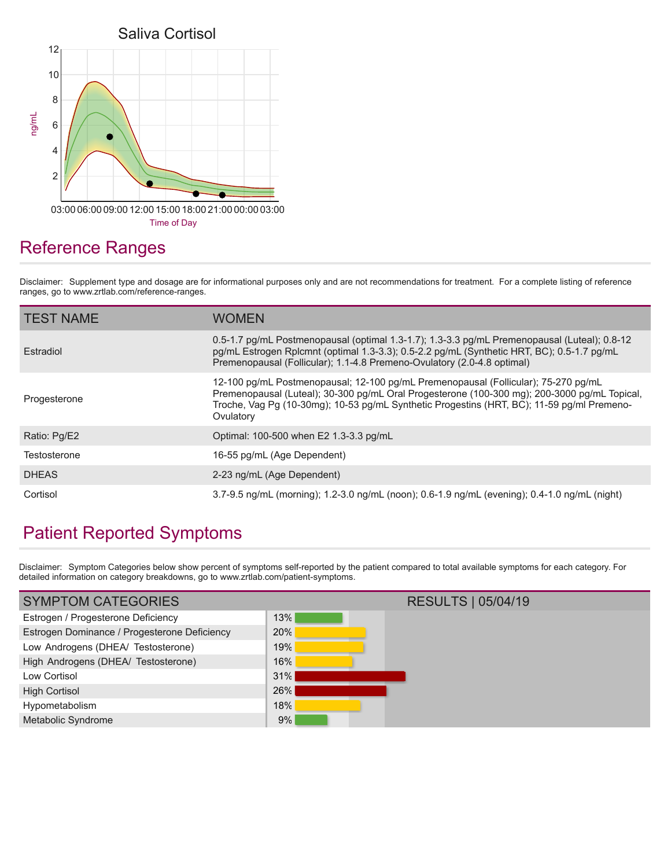

## Reference Ranges

Disclaimer: Supplement type and dosage are for informational purposes only and are not recommendations for treatment. For a complete listing of reference ranges, go to www.zrtlab.com/reference-ranges.

| <b>TEST NAME</b> | <b>WOMEN</b>                                                                                                                                                                                                                                                                                  |
|------------------|-----------------------------------------------------------------------------------------------------------------------------------------------------------------------------------------------------------------------------------------------------------------------------------------------|
| Estradiol        | 0.5-1.7 pg/mL Postmenopausal (optimal 1.3-1.7); 1.3-3.3 pg/mL Premenopausal (Luteal); 0.8-12<br>pg/mL Estrogen Rplcmnt (optimal 1.3-3.3); 0.5-2.2 pg/mL (Synthetic HRT, BC); 0.5-1.7 pg/mL<br>Premenopausal (Follicular); 1.1-4.8 Premeno-Ovulatory (2.0-4.8 optimal)                         |
| Progesterone     | 12-100 pg/mL Postmenopausal; 12-100 pg/mL Premenopausal (Follicular); 75-270 pg/mL<br>Premenopausal (Luteal); 30-300 pg/mL Oral Progesterone (100-300 mg); 200-3000 pg/mL Topical,<br>Troche, Vag Pg (10-30mg); 10-53 pg/mL Synthetic Progestins (HRT, BC); 11-59 pg/ml Premeno-<br>Ovulatory |
| Ratio: Pg/E2     | Optimal: 100-500 when E2 1.3-3.3 pg/mL                                                                                                                                                                                                                                                        |
| Testosterone     | 16-55 pg/mL (Age Dependent)                                                                                                                                                                                                                                                                   |
| <b>DHEAS</b>     | 2-23 ng/mL (Age Dependent)                                                                                                                                                                                                                                                                    |
| Cortisol         | 3.7-9.5 ng/mL (morning); 1.2-3.0 ng/mL (noon); 0.6-1.9 ng/mL (evening); 0.4-1.0 ng/mL (night)                                                                                                                                                                                                 |

## Patient Reported Symptoms

Disclaimer: Symptom Categories below show percent of symptoms self-reported by the patient compared to total available symptoms for each category. For detailed information on category breakdowns, go to www.zrtlab.com/patient-symptoms.

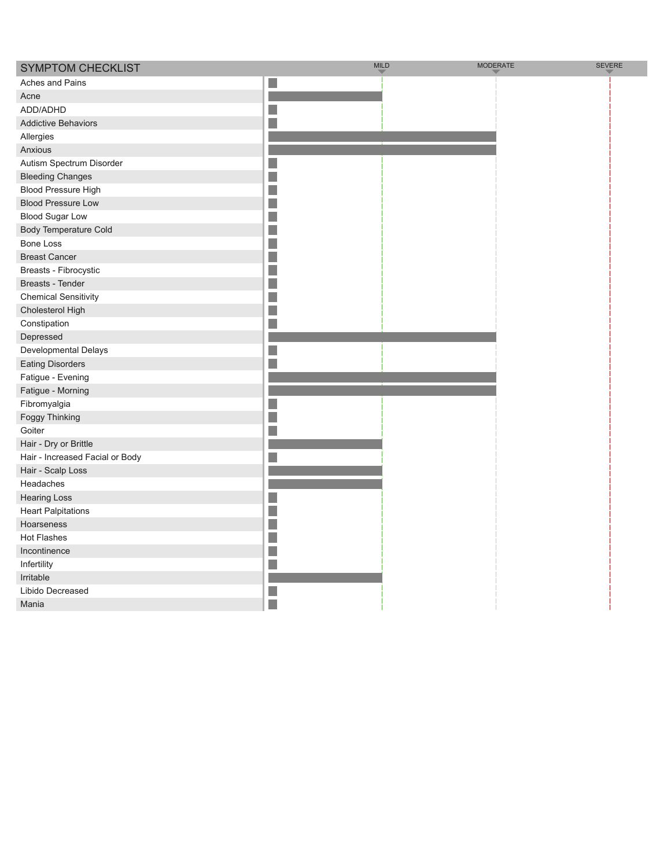| <b>SYMPTOM CHECKLIST</b>        | <b>MILD</b> | <b>MODERATE</b> | <b>SEVERE</b> |
|---------------------------------|-------------|-----------------|---------------|
| Aches and Pains                 | in.         |                 |               |
| Acne                            |             |                 |               |
| ADD/ADHD                        | J.          |                 |               |
| <b>Addictive Behaviors</b>      |             |                 |               |
| Allergies                       |             |                 |               |
| Anxious                         |             |                 |               |
| Autism Spectrum Disorder        |             |                 |               |
| <b>Bleeding Changes</b>         |             |                 |               |
| <b>Blood Pressure High</b>      | in.         |                 |               |
| <b>Blood Pressure Low</b>       |             |                 |               |
| <b>Blood Sugar Low</b>          |             |                 |               |
| <b>Body Temperature Cold</b>    | ×           |                 |               |
| <b>Bone Loss</b>                | n           |                 |               |
| <b>Breast Cancer</b>            |             |                 |               |
| Breasts - Fibrocystic           |             |                 |               |
| Breasts - Tender                | P.          |                 |               |
| <b>Chemical Sensitivity</b>     |             |                 |               |
| Cholesterol High                | b.          |                 |               |
| Constipation                    |             |                 |               |
| Depressed                       |             |                 |               |
| Developmental Delays            | r.          |                 |               |
| <b>Eating Disorders</b>         |             |                 |               |
| Fatigue - Evening               |             |                 |               |
| Fatigue - Morning               |             |                 |               |
| Fibromyalgia                    |             |                 |               |
| Foggy Thinking                  |             |                 |               |
| Goiter                          |             |                 |               |
| Hair - Dry or Brittle           |             |                 |               |
| Hair - Increased Facial or Body |             |                 |               |
| Hair - Scalp Loss               |             |                 |               |
| Headaches                       |             |                 |               |
| <b>Hearing Loss</b>             |             |                 |               |
| <b>Heart Palpitations</b>       | i.          |                 |               |
| Hoarseness                      |             |                 |               |
| <b>Hot Flashes</b>              |             |                 |               |
| Incontinence                    |             |                 |               |
| Infertility                     |             |                 |               |
| Irritable                       |             |                 |               |
| Libido Decreased                |             |                 |               |
| Mania                           | п           |                 |               |